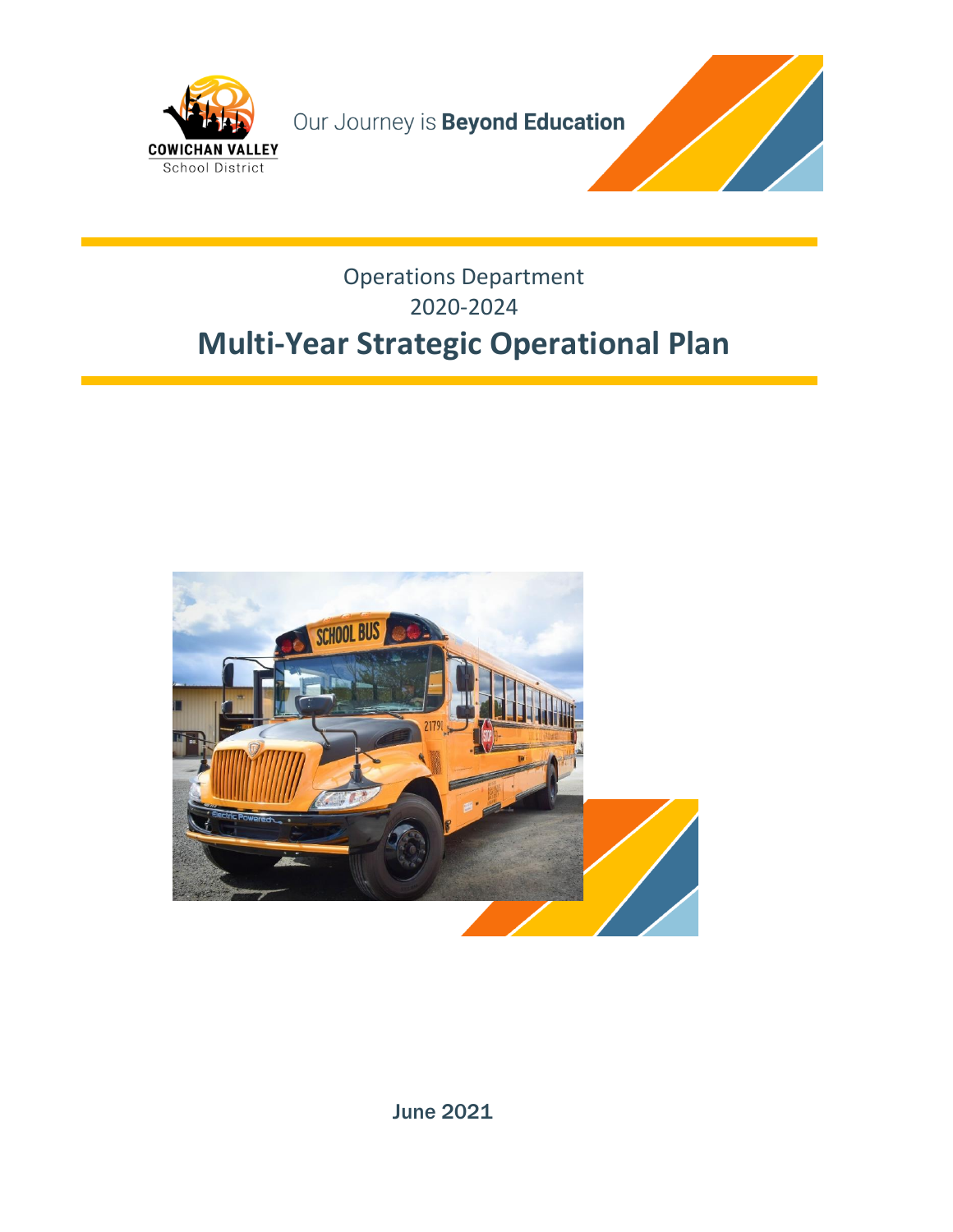

Our Journey is **Beyond Education** 



### Operations Department 2020-2024 **Multi-Year Strategic Operational Plan**



June 2021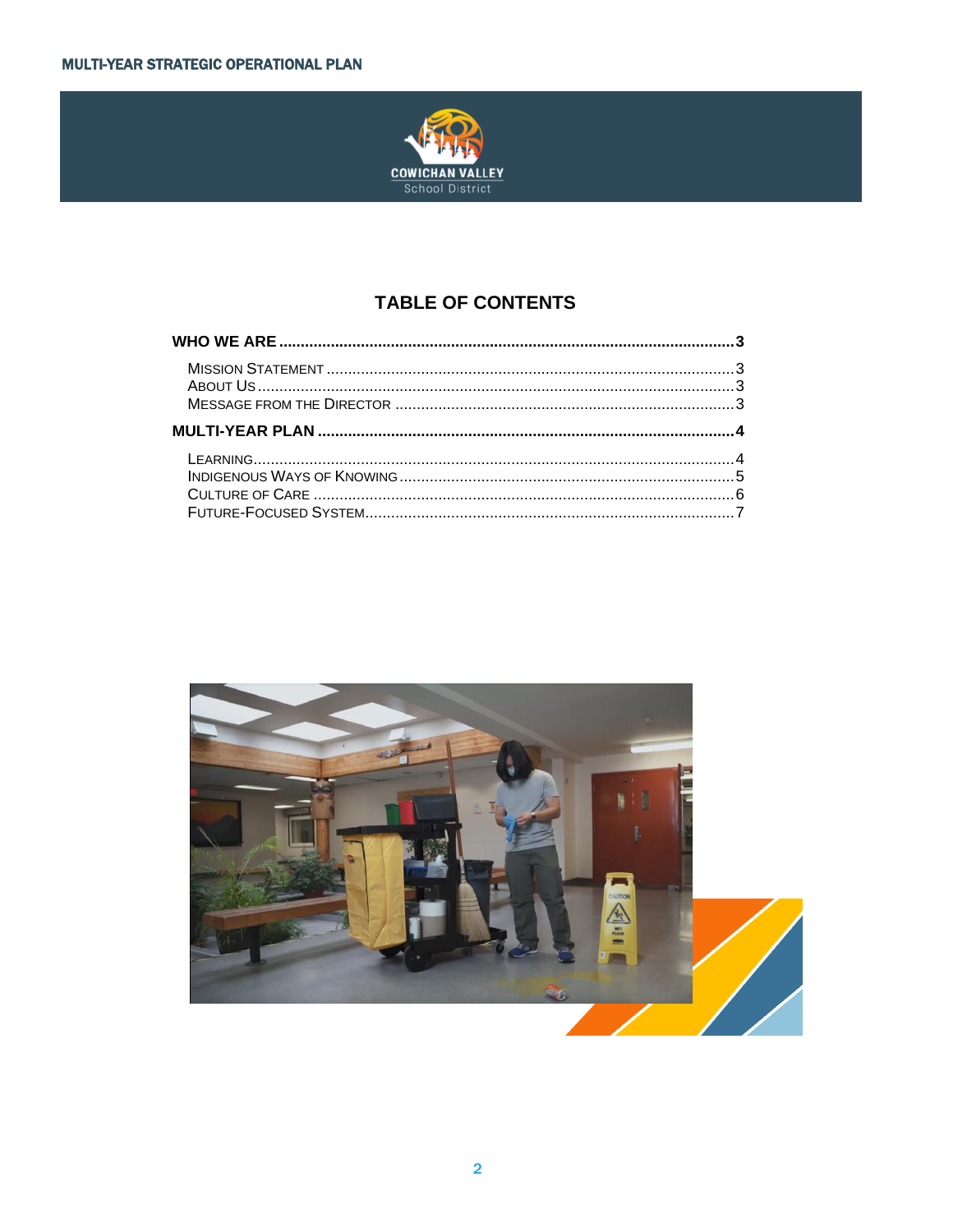

#### **TABLE OF CONTENTS**

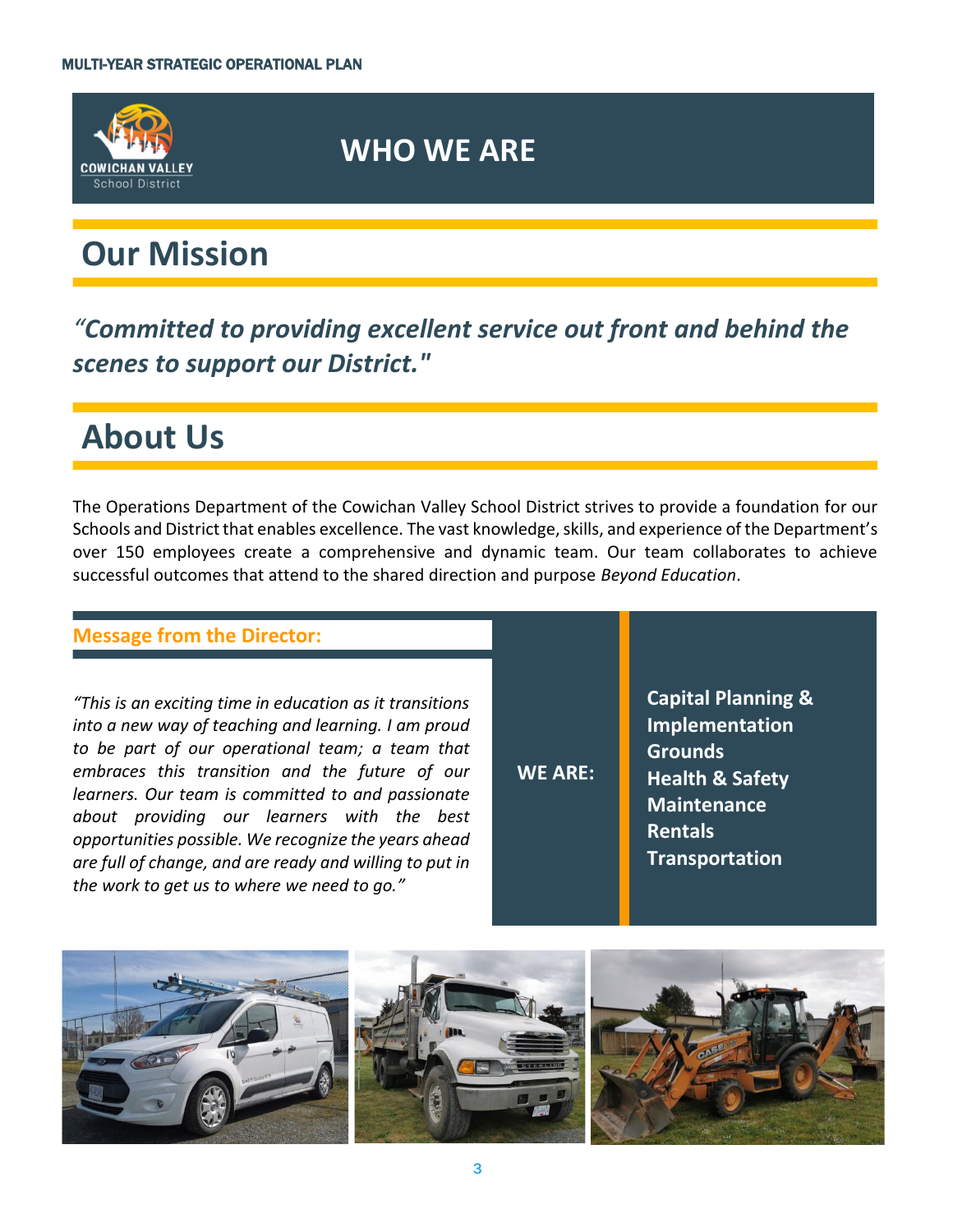

### **WHO WE ARE**

# **Our Mission**

*"Committed to providing excellent service out front and behind the scenes to support our District."*

## **About Us**

The Operations Department of the Cowichan Valley School District strives to provide a foundation for our Schools and District that enables excellence. The vast knowledge, skills, and experience of the Department's over 150 employees create a comprehensive and dynamic team. Our team collaborates to achieve successful outcomes that attend to the shared direction and purpose *Beyond Education*.

#### **Message from the Director:**

*"This is an exciting time in education as it transitions into a new way of teaching and learning. I am proud to be part of our operational team; a team that embraces this transition and the future of our learners. Our team is committed to and passionate about providing our learners with the best opportunities possible. We recognize the years ahead are full of change, and are ready and willing to put in the work to get us to where we need to go."*

**WE ARE:**

**Capital Planning & Implementation Grounds Health & Safety Maintenance Rentals Transportation**

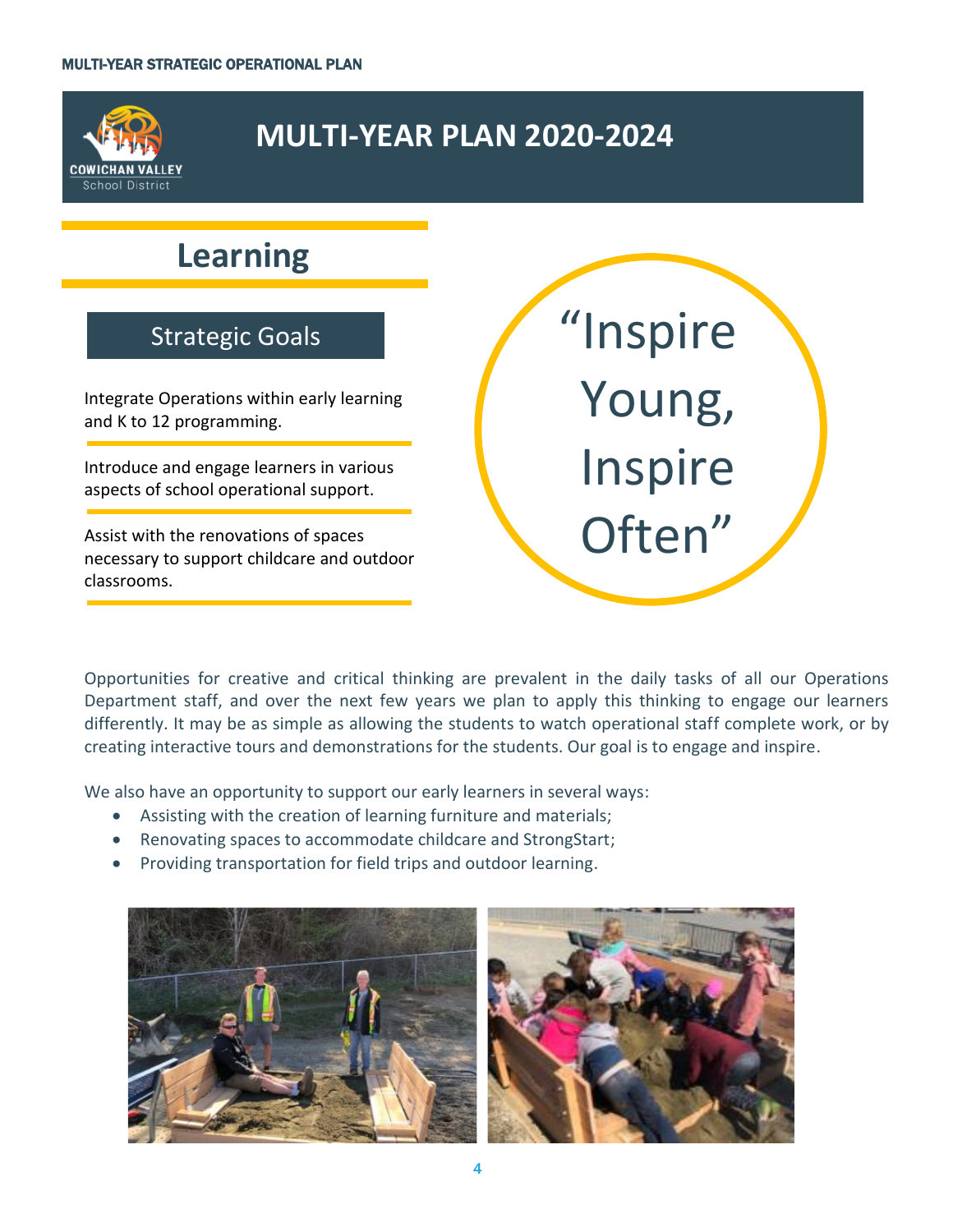

### **MULTI-YEAR PLAN 2020-2024**

## **Learning**

#### Strategic Goals

Integrate Operations within early learning and K to 12 programming.

Introduce and engage learners in various aspects of school operational support.

Assist with the renovations of spaces necessary to support childcare and outdoor classrooms.

"Inspire Young, Inspire Often"

Opportunities for creative and critical thinking are prevalent in the daily tasks of all our Operations Department staff, and over the next few years we plan to apply this thinking to engage our learners differently. It may be as simple as allowing the students to watch operational staff complete work, or by creating interactive tours and demonstrations for the students. Our goal is to engage and inspire.

We also have an opportunity to support our early learners in several ways:

- Assisting with the creation of learning furniture and materials;
- Renovating spaces to accommodate childcare and StrongStart;
- Providing transportation for field trips and outdoor learning.

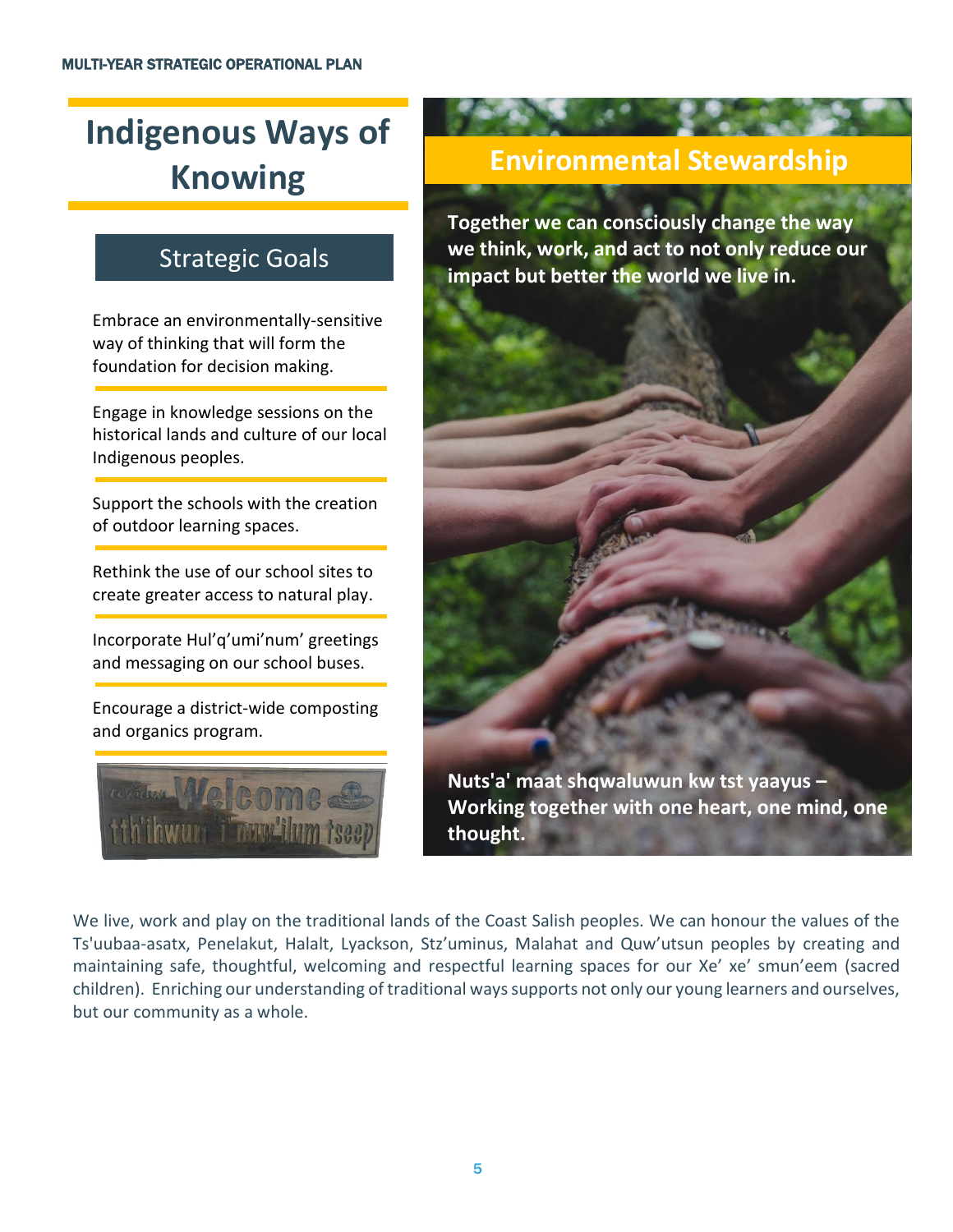# **Indigenous Ways of Knowing**

### Strategic Goals

Embrace an environmentally-sensitive way of thinking that will form the foundation for decision making.

Engage in knowledge sessions on the historical lands and culture of our local Indigenous peoples.

Support the schools with the creation of outdoor learning spaces.

Rethink the use of our school sites to create greater access to natural play.

Incorporate Hul'q'umi'num' greetings and messaging on our school buses.

Encourage a district-wide composting and organics program.



### **Environmental Stewardship**

**Together we can consciously change the way we think, work, and act to not only reduce our impact but better the world we live in.** 

**Nuts'a' maat shqwaluwun kw tst yaayus – Working together with one heart, one mind, one thought.**

We live, work and play on the traditional lands of the Coast Salish peoples. We can honour the values of the Ts'uubaa-asatx, Penelakut, Halalt, Lyackson, Stz'uminus, Malahat and Quw'utsun peoples by creating and maintaining safe, thoughtful, welcoming and respectful learning spaces for our Xe' xe' smun'eem (sacred children). Enriching our understanding of traditional ways supports not only our young learners and ourselves, but our community as a whole.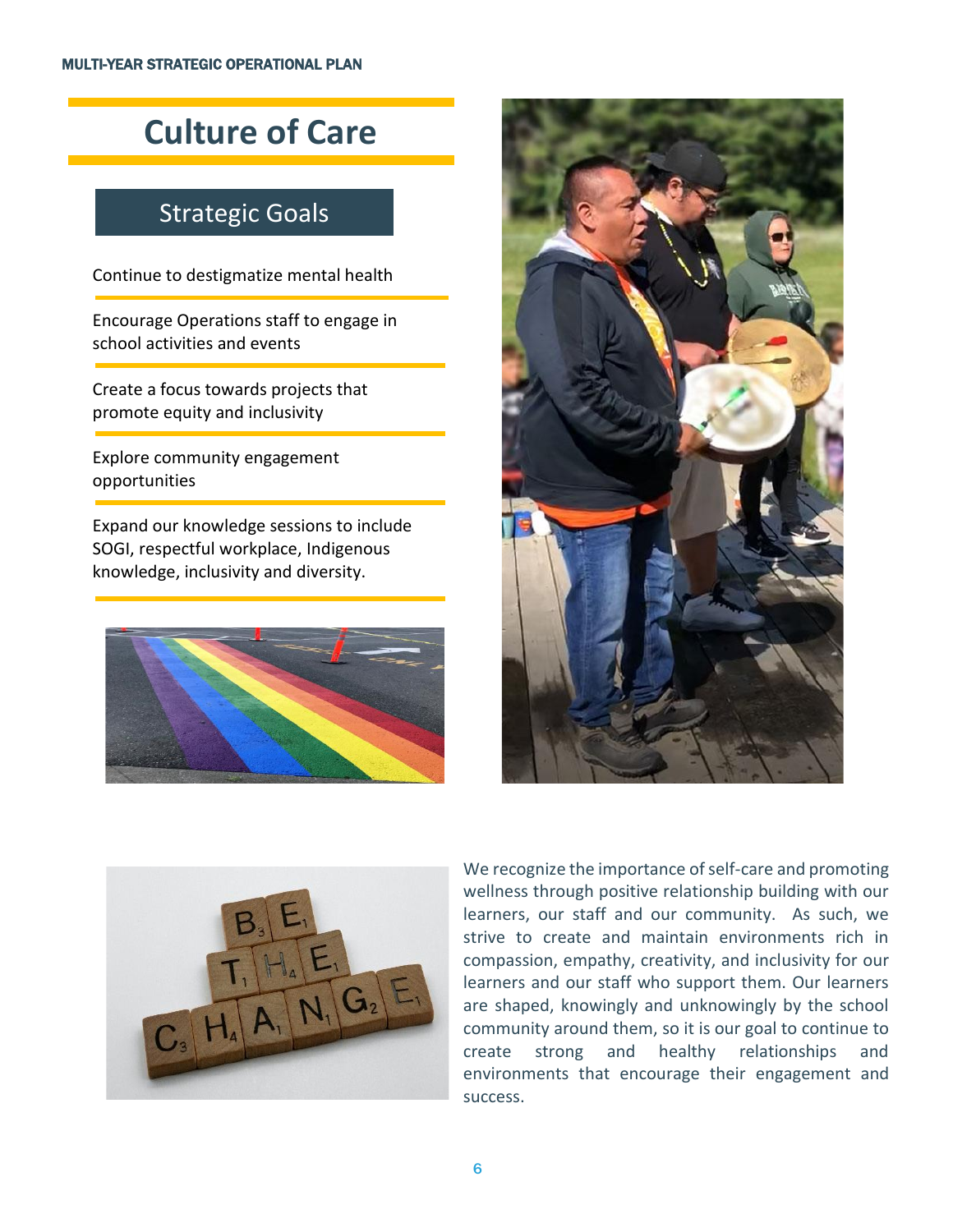# **Culture of Care**

#### Strategic Goals

Continue to destigmatize mental health

Encourage Operations staff to engage in school activities and events

Create a focus towards projects that promote equity and inclusivity

Explore community engagement opportunities

Expand our knowledge sessions to include SOGI, respectful workplace, Indigenous knowledge, inclusivity and diversity.







We recognize the importance of self-care and promoting wellness through positive relationship building with our learners, our staff and our community. As such, we strive to create and maintain environments rich in compassion, empathy, creativity, and inclusivity for our learners and our staff who support them. Our learners are shaped, knowingly and unknowingly by the school community around them, so it is our goal to continue to create strong and healthy relationships and environments that encourage their engagement and success.